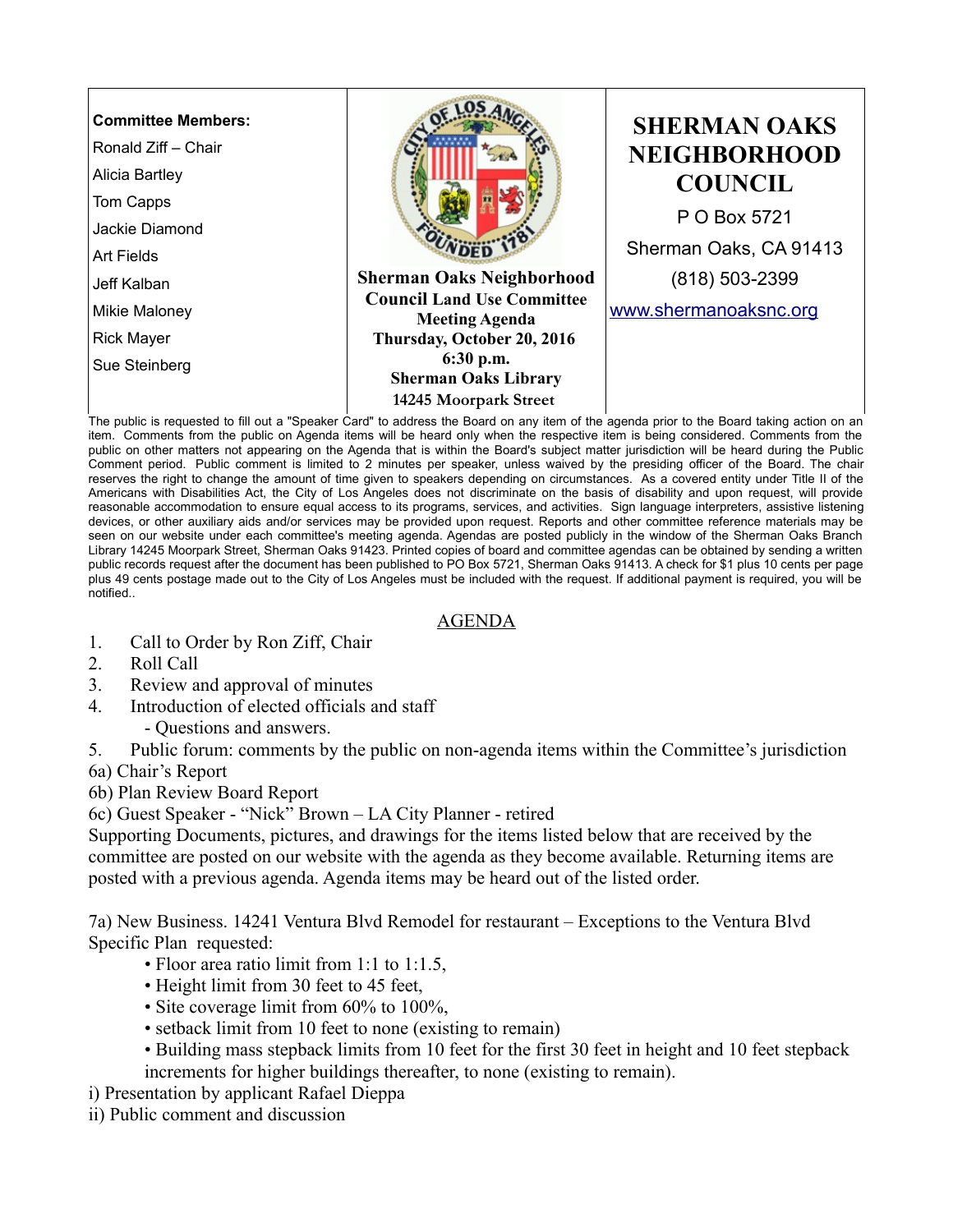

item. Comments from the public on Agenda items will be heard only when the respective item is being considered. Comments from the public on other matters not appearing on the Agenda that is within the Board's subject matter jurisdiction will be heard during the Public Comment period. Public comment is limited to 2 minutes per speaker, unless waived by the presiding officer of the Board. The chair reserves the right to change the amount of time given to speakers depending on circumstances. As a covered entity under Title II of the Americans with Disabilities Act, the City of Los Angeles does not discriminate on the basis of disability and upon request, will provide reasonable accommodation to ensure equal access to its programs, services, and activities. Sign language interpreters, assistive listening devices, or other auxiliary aids and/or services may be provided upon request. Reports and other committee reference materials may be seen on our website under each committee's meeting agenda. Agendas are posted publicly in the window of the Sherman Oaks Branch Library 14245 Moorpark Street, Sherman Oaks 91423. Printed copies of board and committee agendas can be obtained by sending a written public records request after the document has been published to PO Box 5721, Sherman Oaks 91413. A check for \$1 plus 10 cents per page plus 49 cents postage made out to the City of Los Angeles must be included with the request. If additional payment is required, you will be notified..

## AGENDA

- 1. Call to Order by Ron Ziff, Chair
- 2. Roll Call
- 3. Review and approval of minutes
- 4. Introduction of elected officials and staff
	- Questions and answers.
- 5. Public forum: comments by the public on non-agenda items within the Committee's jurisdiction
- 6a) Chair's Report
- 6b) Plan Review Board Report

6c) Guest Speaker - "Nick" Brown – LA City Planner - retired

Supporting Documents, pictures, and drawings for the items listed below that are received by the committee are posted on our website with the agenda as they become available. Returning items are posted with a previous agenda. Agenda items may be heard out of the listed order.

7a) New Business. 14241 Ventura Blvd Remodel for restaurant – Exceptions to the Ventura Blvd Specific Plan requested:

- Floor area ratio limit from 1:1 to 1:1.5,
- Height limit from 30 feet to 45 feet,
- Site coverage limit from 60% to 100%,
- setback limit from 10 feet to none (existing to remain)
- Building mass stepback limits from 10 feet for the first 30 feet in height and 10 feet stepback increments for higher buildings thereafter, to none (existing to remain).
- i) Presentation by applicant Rafael Dieppa
- ii) Public comment and discussion